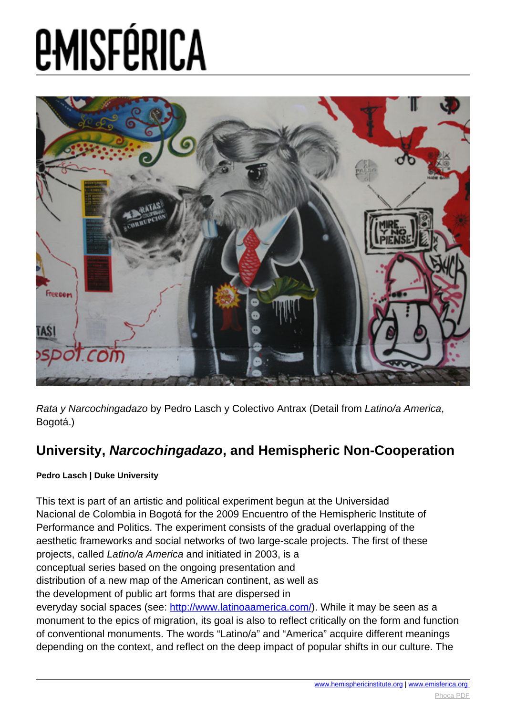

Rata y Narcochingadazo by Pedro Lasch y Colectivo Antrax (Detail from Latino/a America, Bogotá.)

#### **University, Narcochingadazo, and Hemispheric Non-Cooperation**

#### **Pedro Lasch | Duke University**

This text is part of an artistic and political experiment begun at the Universidad Nacional de Colombia in Bogotá for the 2009 Encuentro of the Hemispheric Institute of Performance and Politics. The experiment consists of the gradual overlapping of the aesthetic frameworks and social networks of two large-scale projects. The first of these projects, called Latino/a America and initiated in 2003, is a conceptual series based on the ongoing presentation and distribution of a new map of the American continent, as well as the development of public art forms that are dispersed in everyday social spaces (see: [http://www.latinoaamerica.com/\)](http://www.latinoaamerica.com/). While it may be seen as a

monument to the epics of migration, its goal is also to reflect critically on the form and function of conventional monuments. The words "Latino/a" and "America" acquire different meanings depending on the context, and reflect on the deep impact of popular shifts in our culture. The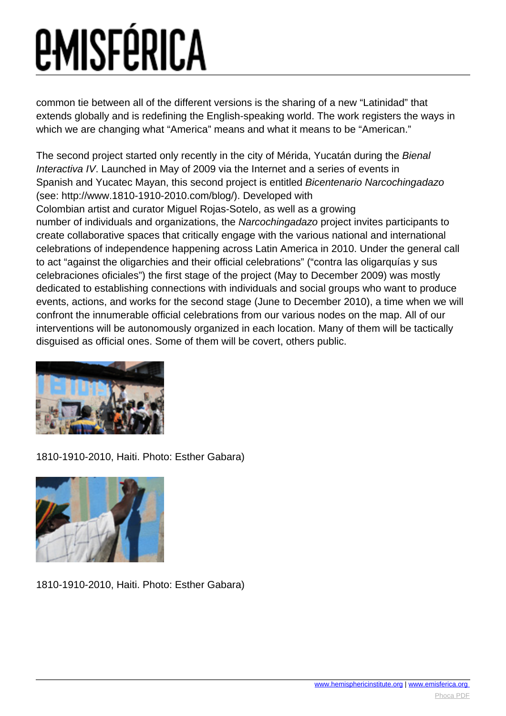common tie between all of the different versions is the sharing of a new "Latinidad" that extends globally and is redefining the English-speaking world. The work registers the ways in which we are changing what "America" means and what it means to be "American."

The second project started only recently in the city of Mérida, Yucatán during the Bienal Interactiva IV. Launched in May of 2009 via the Internet and a series of events in Spanish and Yucatec Mayan, this second project is entitled Bicentenario Narcochingadazo (see: http://www.1810-1910-2010.com/blog/). Developed with Colombian artist and curator Miguel Rojas-Sotelo, as well as a growing number of individuals and organizations, the Narcochingadazo project invites participants to create collaborative spaces that critically engage with the various national and international celebrations of independence happening across Latin America in 2010. Under the general call to act "against the oligarchies and their official celebrations" ("contra las oligarquías y sus celebraciones oficiales") the first stage of the project (May to December 2009) was mostly dedicated to establishing connections with individuals and social groups who want to produce events, actions, and works for the second stage (June to December 2010), a time when we will confront the innumerable official celebrations from our various nodes on the map. All of our interventions will be autonomously organized in each location. Many of them will be tactically disguised as official ones. Some of them will be covert, others public.



1810-1910-2010, Haiti. Photo: Esther Gabara)



1810-1910-2010, Haiti. Photo: Esther Gabara)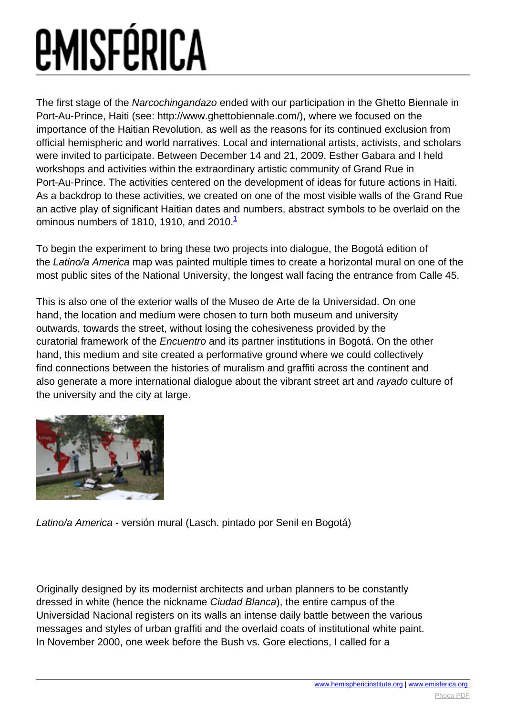<span id="page-2-0"></span>The first stage of the Narcochingandazo ended with our participation in the Ghetto Biennale in Port-Au-Prince, Haiti (see: http://www.ghettobiennale.com/), where we focused on the importance of the Haitian Revolution, as well as the reasons for its continued exclusion from official hemispheric and world narratives. Local and international artists, activists, and scholars were invited to participate. Between December 14 and 21, 2009, Esther Gabara and I held workshops and activities within the extraordinary artistic community of Grand Rue in Port-Au-Prince. The activities centered on the development of ideas for future actions in Haiti. As a backdrop to these activities, we created on one of the most visible walls of the Grand Rue an active play of significant Haitian dates and numbers, abstract symbols to be overlaid on the ominous numbers of [1](#page-2-0)810, 1910, and  $2010<sup>1</sup>$ 

To begin the experiment to bring these two projects into dialogue, the Bogotá edition of the Latino/a America map was painted multiple times to create a horizontal mural on one of the most public sites of the National University, the longest wall facing the entrance from Calle 45.

This is also one of the exterior walls of the Museo de Arte de la Universidad. On one hand, the location and medium were chosen to turn both museum and university outwards, towards the street, without losing the cohesiveness provided by the curatorial framework of the Encuentro and its partner institutions in Bogotá. On the other hand, this medium and site created a performative ground where we could collectively find connections between the histories of muralism and graffiti across the continent and also generate a more international dialogue about the vibrant street art and rayado culture of the university and the city at large.



Latino/a America - versión mural (Lasch. pintado por Senil en Bogotá)

Originally designed by its modernist architects and urban planners to be constantly dressed in white (hence the nickname Ciudad Blanca), the entire campus of the Universidad Nacional registers on its walls an intense daily battle between the various messages and styles of urban graffiti and the overlaid coats of institutional white paint. In November 2000, one week before the Bush vs. Gore elections, I called for a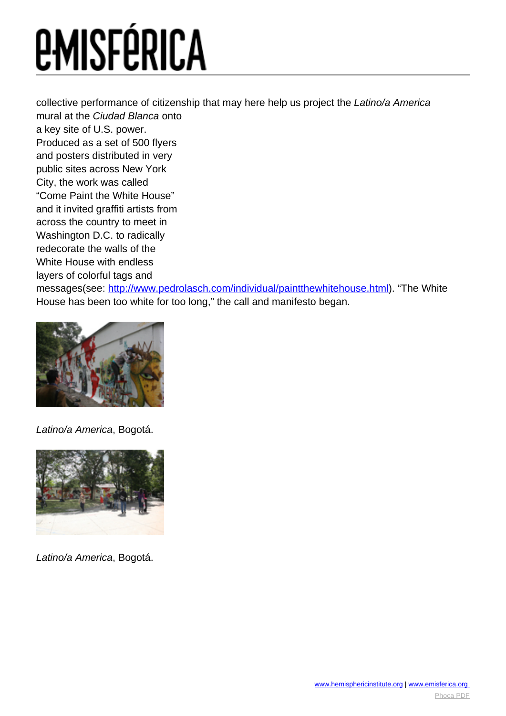collective performance of citizenship that may here help us project the Latino/a America mural at the Ciudad Blanca onto a key site of U.S. power. Produced as a set of 500 flyers and posters distributed in very public sites across New York City, the work was called "Come Paint the White House" and it invited graffiti artists from across the country to meet in Washington D.C. to radically redecorate the walls of the White House with endless layers of colorful tags and messages(see:<http://www.pedrolasch.com/individual/paintthewhitehouse.html>). "The White

House has been too white for too long," the call and manifesto began.



Latino/a America, Bogotá.



Latino/a America, Bogotá.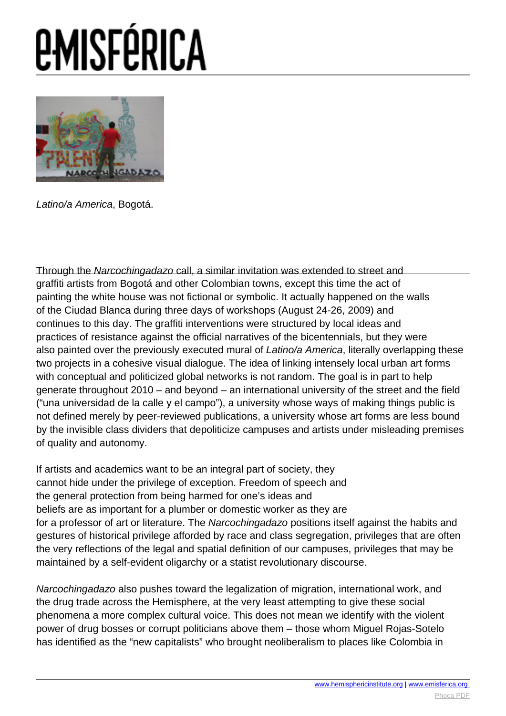# *<u>EMISFÉRICA</u>*



Latino/a America, Bogotá.

Through the Narcochingadazo call, a similar invitation was extended to street and graffiti artists from Bogotá and other Colombian towns, excep[t this time the act of](http://www.hemisphericinsitute.org/) painting the white house was not fictional or symbolic. It actually happened on the walls of the Ciudad Blanca during three days of workshops (August 24-26, 2009) and continues to this day. The graffiti interventions were structured by local ideas and practices of resistance against the official narratives of the bicentennials, but they were also painted over the previously executed mural of Latino/a America, literally overlapping these two projects in a cohesive visual dialogue. The idea of linking intensely local urban art forms with conceptual and politicized global networks is not random. The goal is in part to help generate throughout 2010 – and beyond – an international university of the street and the field ("una universidad de la calle y el campo"), a university whose ways of making things public is not defined merely by peer-reviewed publications, a university whose art forms are less bound by the invisible class dividers that depoliticize campuses and artists under misleading premises of quality and autonomy.

If artists and academics want to be an integral part of society, they cannot hide under the privilege of exception. Freedom of speech and the general protection from being harmed for one's ideas and beliefs are as important for a plumber or domestic worker as they are for a professor of art or literature. The Narcochingadazo positions itself against the habits and gestures of historical privilege afforded by race and class segregation, privileges that are often the very reflections of the legal and spatial definition of our campuses, privileges that may be maintained by a self-evident oligarchy or a statist revolutionary discourse.

Narcochingadazo also pushes toward the legalization of migration, international work, and the drug trade across the Hemisphere, at the very least attempting to give these social phenomena a more complex cultural voice. This does not mean we identify with the violent power of drug bosses or corrupt politicians above them – those whom Miguel Rojas-Sotelo has identified as the "new capitalists" who brought neoliberalism to places like Colombia in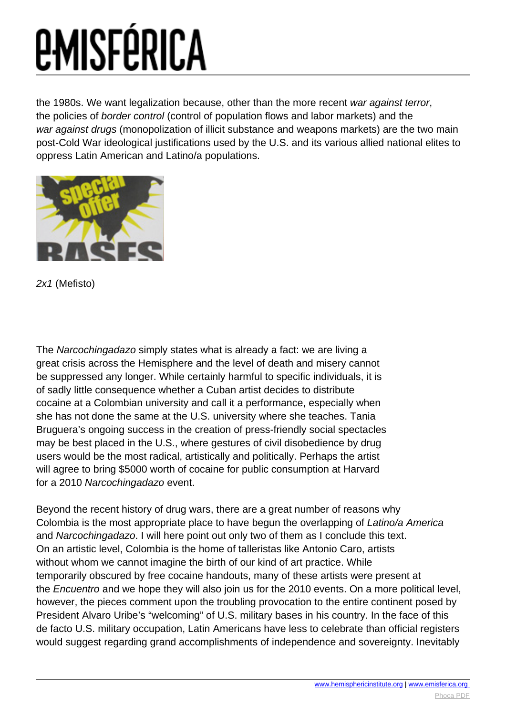the 1980s. We want legalization because, other than the more recent war against terror, the policies of border control (control of population flows and labor markets) and the war against drugs (monopolization of illicit substance and weapons markets) are the two main post-Cold War ideological justifications used by the U.S. and its various allied national elites to oppress Latin American and Latino/a populations.



2x1 (Mefisto)

The Narcochingadazo simply states what is already a fact: we are living a great crisis across the Hemisphere and the level of death and misery cannot be suppressed any longer. While certainly harmful to specific individuals, it is of sadly little consequence whether a Cuban artist decides to distribute cocaine at a Colombian university and call it a performance, especially when she has not done the same at the U.S. university where she teaches. Tania Bruguera's ongoing success in the creation of press-friendly social spectacles may be best placed in the U.S., where gestures of civil disobedience by drug users would be the most radical, artistically and politically. Perhaps the artist will agree to bring \$5000 worth of cocaine for public consumption at Harvard for a 2010 Narcochingadazo event.

Beyond the recent history of drug wars, there are a great number of reasons why Colombia is the most appropriate place to have begun the overlapping of Latino/a America and Narcochingadazo. I will here point out only two of them as I conclude this text. On an artistic level, Colombia is the home of talleristas like Antonio Caro, artists without whom we cannot imagine the birth of our kind of art practice. While temporarily obscured by free cocaine handouts, many of these artists were present at the Encuentro and we hope they will also join us for the 2010 events. On a more political level, however, the pieces comment upon the troubling provocation to the entire continent posed by President Alvaro Uribe's "welcoming" of U.S. military bases in his country. In the face of this de facto U.S. military occupation, Latin Americans have less to celebrate than official registers would suggest regarding grand accomplishments of independence and sovereignty. Inevitably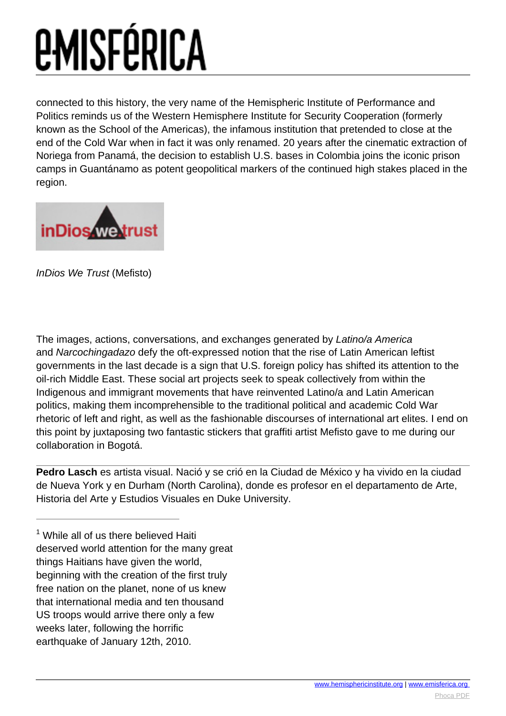connected to this history, the very name of the Hemispheric Institute of Performance and Politics reminds us of the Western Hemisphere Institute for Security Cooperation (formerly known as the School of the Americas), the infamous institution that pretended to close at the end of the Cold War when in fact it was only renamed. 20 years after the cinematic extraction of Noriega from Panamá, the decision to establish U.S. bases in Colombia joins the iconic prison camps in Guantánamo as potent geopolitical markers of the continued high stakes placed in the region.



InDios We Trust (Mefisto)

The images, actions, conversations, and exchanges generated by Latino/a America and Narcochingadazo defy the oft-expressed notion that the rise of Latin American leftist governments in the last decade is a sign that U.S. foreign policy has shifted its attention to the oil-rich Middle East. These social art projects seek to speak collectively from within the Indigenous and immigrant movements that have reinvented Latino/a and Latin American politics, making them incomprehensible to the traditional political and academic Cold War rhetoric of left and right, as well as the fashionable discourses of international art elites. I end on this point by juxtaposing two fantastic stickers that graffiti artist Mefisto gave to me during our collaboration in Bogotá.

**Pedro Lasch** es artista visual. Nació y se crió en la Ciudad de México y ha vivido en la ciudad de Nueva York y en Durham (North Carolina), donde es profesor en el departamento de Arte, Historia del Arte y Estudios Visuales en Duke University.

 $1$  While all of us there believed Haiti deserved world attention for the many great things Haitians have given the world, beginning with the creation of the first truly free nation on the planet, none of us knew that international media and ten thousand US troops would arrive there only a few weeks later, following the horrific earthquake of January 12th, 2010.